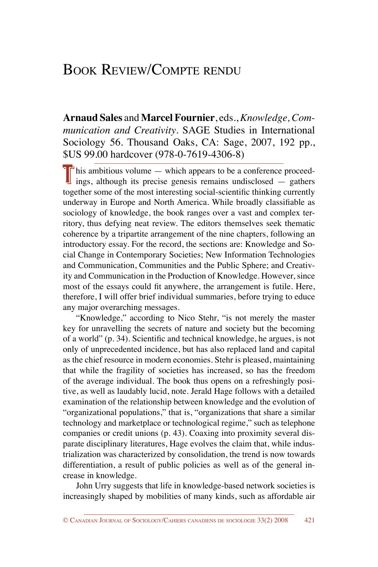## Book Review/Compte rendu

**Arnaud Sales** and **Marcel Fournier**, eds., *Knowledge, Communication and Creativity*. SAGE Studies in International Sociology 56. Thousand Oaks, CA: Sage, 2007, 192 pp., \$US 99.00 hardcover (978-0-7619-4306-8)

 $T<sup>1</sup>$  his ambitious volume — which appears to be a conference proceedings, although its precise genesis remains undisclosed  $-$  gathers together some of the most interesting social-scientific thinking currently underway in Europe and North America. While broadly classifiable as sociology of knowledge, the book ranges over a vast and complex territory, thus defying neat review. The editors themselves seek thematic coherence by a tripartite arrangement of the nine chapters, following an introductory essay. For the record, the sections are: Knowledge and Social Change in Contemporary Societies; New Information Technologies and Communication, Communities and the Public Sphere; and Creativity and Communication in the Production of Knowledge. However, since most of the essays could fit anywhere, the arrangement is futile. Here, therefore, I will offer brief individual summaries, before trying to educe any major overarching messages.

"Knowledge," according to Nico Stehr, "is not merely the master key for unravelling the secrets of nature and society but the becoming of a world" (p. 34). Scientific and technical knowledge, he argues, is not only of unprecedented incidence, but has also replaced land and capital as the chief resource in modern economies. Stehr is pleased, maintaining that while the fragility of societies has increased, so has the freedom of the average individual. The book thus opens on a refreshingly positive, as well as laudably lucid, note. Jerald Hage follows with a detailed examination of the relationship between knowledge and the evolution of "organizational populations," that is, "organizations that share a similar technology and marketplace or technological regime," such as telephone companies or credit unions (p. 43). Coaxing into proximity several disparate disciplinary literatures, Hage evolves the claim that, while industrialization was characterized by consolidation, the trend is now towards differentiation, a result of public policies as well as of the general increase in knowledge.

John Urry suggests that life in knowledge-based network societies is increasingly shaped by mobilities of many kinds, such as affordable air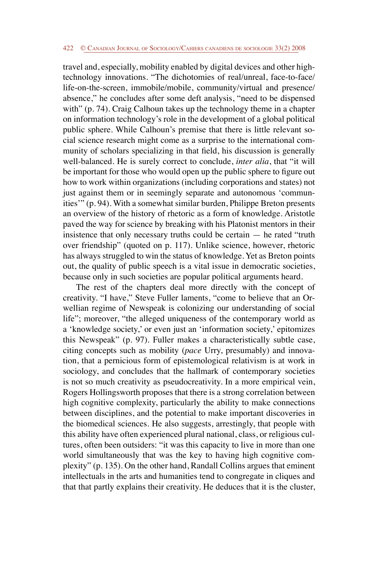## 422 © Canadian Journal of Sociology/Cahiers canadiens de sociologie 33(2) 2008

travel and, especially, mobility enabled by digital devices and other hightechnology innovations. "The dichotomies of real/unreal, face-to-face/ life-on-the-screen, immobile/mobile, community/virtual and presence/ absence," he concludes after some deft analysis, "need to be dispensed with" (p. 74). Craig Calhoun takes up the technology theme in a chapter on information technology's role in the development of a global political public sphere. While Calhoun's premise that there is little relevant social science research might come as a surprise to the international community of scholars specializing in that field, his discussion is generally well-balanced. He is surely correct to conclude, *inter alia*, that "it will be important for those who would open up the public sphere to figure out how to work within organizations (including corporations and states) not just against them or in seemingly separate and autonomous 'communities'" (p. 94). With a somewhat similar burden, Philippe Breton presents an overview of the history of rhetoric as a form of knowledge. Aristotle paved the way for science by breaking with his Platonist mentors in their insistence that only necessary truths could be certain — he rated "truth over friendship" (quoted on p. 117). Unlike science, however, rhetoric has always struggled to win the status of knowledge. Yet as Breton points out, the quality of public speech is a vital issue in democratic societies, because only in such societies are popular political arguments heard.

The rest of the chapters deal more directly with the concept of creativity. "I have," Steve Fuller laments, "come to believe that an Orwellian regime of Newspeak is colonizing our understanding of social life"; moreover, "the alleged uniqueness of the contemporary world as a 'knowledge society,' or even just an 'information society,' epitomizes this Newspeak" (p. 97). Fuller makes a characteristically subtle case, citing concepts such as mobility (*pace* Urry, presumably) and innovation, that a pernicious form of epistemological relativism is at work in sociology, and concludes that the hallmark of contemporary societies is not so much creativity as pseudocreativity. In a more empirical vein, Rogers Hollingsworth proposes that there is a strong correlation between high cognitive complexity, particularly the ability to make connections between disciplines, and the potential to make important discoveries in the biomedical sciences. He also suggests, arrestingly, that people with this ability have often experienced plural national, class, or religious cultures, often been outsiders: "it was this capacity to live in more than one world simultaneously that was the key to having high cognitive complexity" (p. 135). On the other hand, Randall Collins argues that eminent intellectuals in the arts and humanities tend to congregate in cliques and that that partly explains their creativity. He deduces that it is the cluster,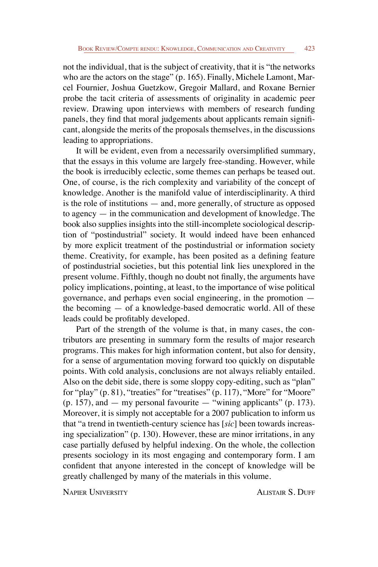not the individual, that is the subject of creativity, that it is "the networks who are the actors on the stage" (p. 165). Finally, Michele Lamont, Marcel Fournier, Joshua Guetzkow, Gregoir Mallard, and Roxane Bernier probe the tacit criteria of assessments of originality in academic peer review. Drawing upon interviews with members of research funding panels, they find that moral judgements about applicants remain significant, alongside the merits of the proposals themselves, in the discussions leading to appropriations.

It will be evident, even from a necessarily oversimplified summary, that the essays in this volume are largely free-standing. However, while the book is irreducibly eclectic, some themes can perhaps be teased out. One, of course, is the rich complexity and variability of the concept of knowledge. Another is the manifold value of interdisciplinarity. A third is the role of institutions — and, more generally, of structure as opposed to agency — in the communication and development of knowledge. The book also supplies insights into the still-incomplete sociological description of "postindustrial" society. It would indeed have been enhanced by more explicit treatment of the postindustrial or information society theme. Creativity, for example, has been posited as a defining feature of postindustrial societies, but this potential link lies unexplored in the present volume. Fifthly, though no doubt not finally, the arguments have policy implications, pointing, at least, to the importance of wise political governance, and perhaps even social engineering, in the promotion the becoming — of a knowledge-based democratic world. All of these leads could be profitably developed.

Part of the strength of the volume is that, in many cases, the contributors are presenting in summary form the results of major research programs. This makes for high information content, but also for density, for a sense of argumentation moving forward too quickly on disputable points. With cold analysis, conclusions are not always reliably entailed. Also on the debit side, there is some sloppy copy-editing, such as "plan" for "play" (p. 81), "treaties" for "treatises" (p. 117), "More" for "Moore"  $(p. 157)$ , and  $-$  my personal favourite  $-$  "wining applicants"  $(p. 173)$ . Moreover, it is simply not acceptable for a 2007 publication to inform us that "a trend in twentieth-century science has [*sic*] been towards increasing specialization" (p. 130). However, these are minor irritations, in any case partially defused by helpful indexing. On the whole, the collection presents sociology in its most engaging and contemporary form. I am confident that anyone interested in the concept of knowledge will be greatly challenged by many of the materials in this volume.

Napier University Alistair S. Duff